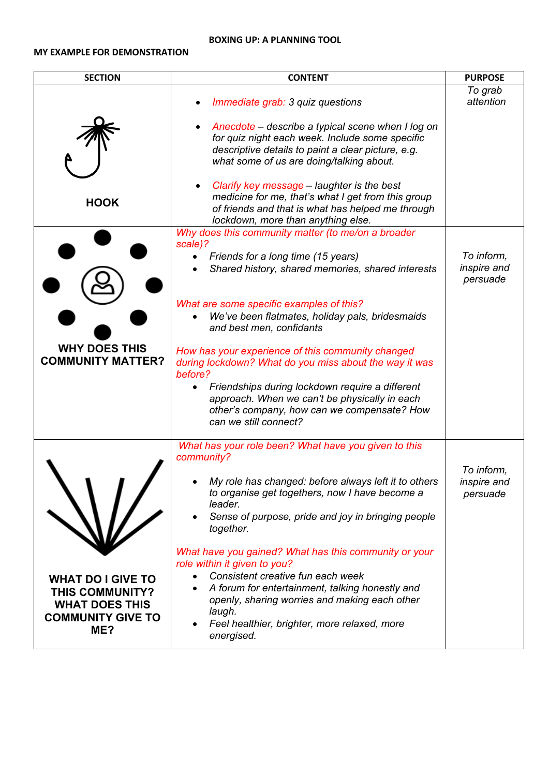## **MY EXAMPLE FOR DEMONSTRATION**

| <b>SECTION</b>                                                                                          | <b>CONTENT</b>                                                                                                                                                                              | <b>PURPOSE</b>                        |
|---------------------------------------------------------------------------------------------------------|---------------------------------------------------------------------------------------------------------------------------------------------------------------------------------------------|---------------------------------------|
|                                                                                                         | Immediate grab: 3 quiz questions<br>Anecdote – describe a typical scene when I log on                                                                                                       | To grab<br>attention                  |
|                                                                                                         | for quiz night each week. Include some specific<br>descriptive details to paint a clear picture, e.g.<br>what some of us are doing/talking about.                                           |                                       |
| <b>HOOK</b>                                                                                             | Clarify key message - laughter is the best<br>medicine for me, that's what I get from this group<br>of friends and that is what has helped me through<br>lockdown, more than anything else. |                                       |
|                                                                                                         | Why does this community matter (to me/on a broader                                                                                                                                          |                                       |
|                                                                                                         | scale)?                                                                                                                                                                                     |                                       |
|                                                                                                         | Friends for a long time (15 years)<br>Shared history, shared memories, shared interests                                                                                                     | To inform,<br>inspire and<br>persuade |
|                                                                                                         | What are some specific examples of this?<br>We've been flatmates, holiday pals, bridesmaids<br>and best men, confidants                                                                     |                                       |
| <b>WHY DOES THIS</b><br><b>COMMUNITY MATTER?</b>                                                        | How has your experience of this community changed<br>during lockdown? What do you miss about the way it was<br>before?                                                                      |                                       |
|                                                                                                         | Friendships during lockdown require a different<br>$\bullet$<br>approach. When we can't be physically in each<br>other's company, how can we compensate? How<br>can we still connect?       |                                       |
|                                                                                                         | What has your role been? What have you given to this<br>community?                                                                                                                          |                                       |
|                                                                                                         | My role has changed: before always left it to others<br>to organise get togethers, now I have become a<br>leader.<br>Sense of purpose, pride and joy in bringing people<br>together.        | To inform,<br>inspire and<br>persuade |
|                                                                                                         | What have you gained? What has this community or your<br>role within it given to you?                                                                                                       |                                       |
| <b>WHAT DO I GIVE TO</b><br><b>THIS COMMUNITY?</b><br><b>WHAT DOES THIS</b><br><b>COMMUNITY GIVE TO</b> | Consistent creative fun each week<br>$\bullet$<br>A forum for entertainment, talking honestly and<br>$\bullet$<br>openly, sharing worries and making each other<br>laugh.                   |                                       |
| ME?                                                                                                     | Feel healthier, brighter, more relaxed, more<br>energised.                                                                                                                                  |                                       |